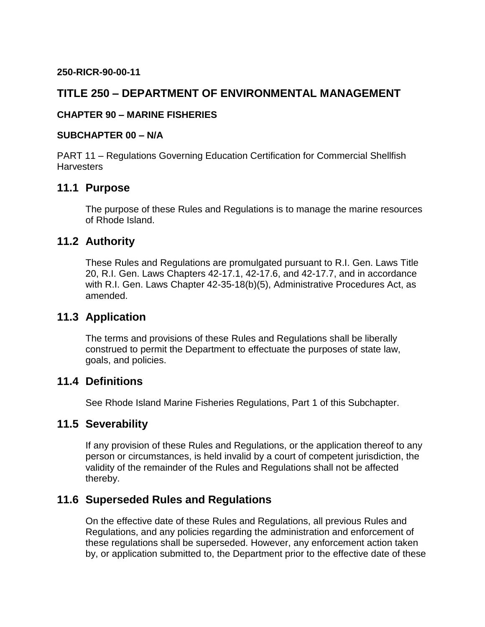#### **250-RICR-90-00-11**

# **TITLE 250 – DEPARTMENT OF ENVIRONMENTAL MANAGEMENT**

#### **CHAPTER 90 – MARINE FISHERIES**

#### **SUBCHAPTER 00 – N/A**

PART 11 – Regulations Governing Education Certification for Commercial Shellfish **Harvesters** 

### **11.1 Purpose**

The purpose of these Rules and Regulations is to manage the marine resources of Rhode Island.

### **11.2 Authority**

These Rules and Regulations are promulgated pursuant to R.I. Gen. Laws Title 20, R.I. Gen. Laws Chapters 42-17.1, 42-17.6, and 42-17.7, and in accordance with R.I. Gen. Laws Chapter 42-35-18(b)(5), Administrative Procedures Act, as amended.

# **11.3 Application**

The terms and provisions of these Rules and Regulations shall be liberally construed to permit the Department to effectuate the purposes of state law, goals, and policies.

### **11.4 Definitions**

See Rhode Island Marine Fisheries Regulations, Part 1 of this Subchapter.

# **11.5 Severability**

If any provision of these Rules and Regulations, or the application thereof to any person or circumstances, is held invalid by a court of competent jurisdiction, the validity of the remainder of the Rules and Regulations shall not be affected thereby.

# **11.6 Superseded Rules and Regulations**

On the effective date of these Rules and Regulations, all previous Rules and Regulations, and any policies regarding the administration and enforcement of these regulations shall be superseded. However, any enforcement action taken by, or application submitted to, the Department prior to the effective date of these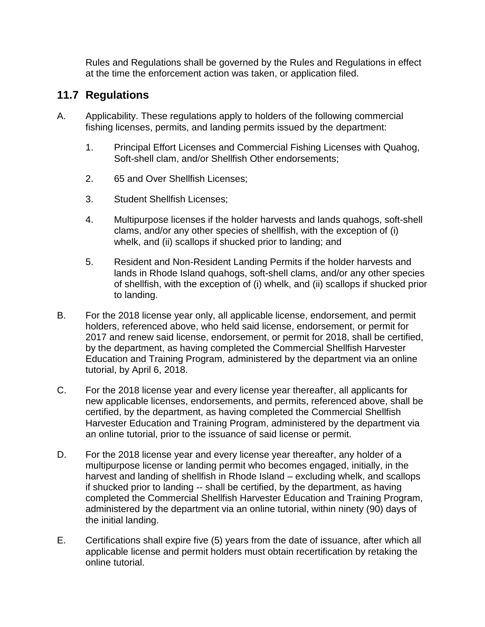Rules and Regulations shall be governed by the Rules and Regulations in effect at the time the enforcement action was taken, or application filed.

# **11.7 Regulations**

- A. Applicability. These regulations apply to holders of the following commercial fishing licenses, permits, and landing permits issued by the department:
	- 1. Principal Effort Licenses and Commercial Fishing Licenses with Quahog, Soft-shell clam, and/or Shellfish Other endorsements;
	- 2. 65 and Over Shellfish Licenses;
	- 3. Student Shellfish Licenses;
	- 4. Multipurpose licenses if the holder harvests and lands quahogs, soft-shell clams, and/or any other species of shellfish, with the exception of (i) whelk, and (ii) scallops if shucked prior to landing; and
	- 5. Resident and Non-Resident Landing Permits if the holder harvests and lands in Rhode Island quahogs, soft-shell clams, and/or any other species of shellfish, with the exception of (i) whelk, and (ii) scallops if shucked prior to landing.
- B. For the 2018 license year only, all applicable license, endorsement, and permit holders, referenced above, who held said license, endorsement, or permit for 2017 and renew said license, endorsement, or permit for 2018, shall be certified, by the department, as having completed the Commercial Shellfish Harvester Education and Training Program, administered by the department via an online tutorial, by April 6, 2018.
- C. For the 2018 license year and every license year thereafter, all applicants for new applicable licenses, endorsements, and permits, referenced above, shall be certified, by the department, as having completed the Commercial Shellfish Harvester Education and Training Program, administered by the department via an online tutorial, prior to the issuance of said license or permit.
- D. For the 2018 license year and every license year thereafter, any holder of a multipurpose license or landing permit who becomes engaged, initially, in the harvest and landing of shellfish in Rhode Island – excluding whelk, and scallops if shucked prior to landing -- shall be certified, by the department, as having completed the Commercial Shellfish Harvester Education and Training Program, administered by the department via an online tutorial, within ninety (90) days of the initial landing.
- E. Certifications shall expire five (5) years from the date of issuance, after which all applicable license and permit holders must obtain recertification by retaking the online tutorial.